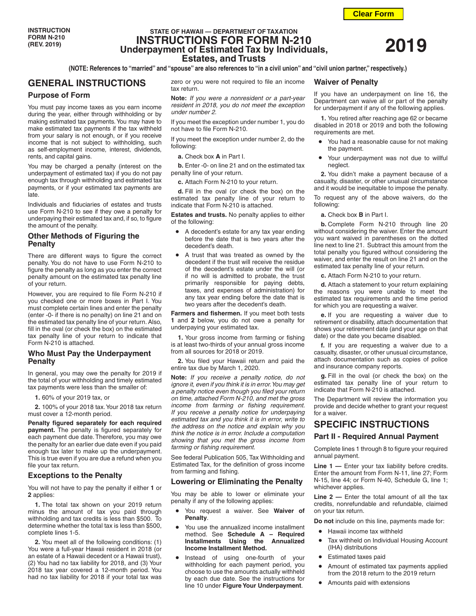# **STATE OF HAWAII — DEPARTMENT OF TAXATION INSTRUCTIONS FOR FORM N-210 Underpayment of Estimated Tax by Individuals, Estates, and Trusts**

**(NOTE: References to "married" and "spouse" are also references to "in a civil union" and "civil union partner," respectively.)**

# **GENERAL INSTRUCTIONS**

### **Purpose of Form**

You must pay income taxes as you earn income during the year, either through withholding or by making estimated tax payments. You may have to make estimated tax payments if the tax withheld from your salary is not enough, or if you receive income that is not subject to withholding, such as self-employment income, interest, dividends, rents, and capital gains.

You may be charged a penalty (interest on the underpayment of estimated tax) if you do not pay enough tax through withholding and estimated tax payments, or if your estimated tax payments are late.

Individuals and fiduciaries of estates and trusts use Form N-210 to see if they owe a penalty for underpaying their estimated tax and, if so, to figure the amount of the penalty.

# **Other Methods of Figuring the Penalty**

There are different ways to figure the correct penalty. You do not have to use Form N-210 to figure the penalty as long as you enter the correct penalty amount on the estimated tax penalty line of your return.

However, you are required to file Form N-210 if you checked one or more boxes in Part I. You must complete certain lines and enter the penalty (enter -0- if there is no penalty) on line 21 and on the estimated tax penalty line of your return. Also, fill in the oval (or check the box) on the estimated tax penalty line of your return to indicate that Form N-210 is attached.

# **Who Must Pay the Underpayment Penalty**

In general, you may owe the penalty for 2019 if the total of your withholding and timely estimated tax payments were less than the smaller of:

**1.** 60% of your 2019 tax, or

**2.** 100% of your 2018 tax. Your 2018 tax return must cover a 12-month period.

**Penalty figured separately for each required payment.** The penalty is figured separately for each payment due date. Therefore, you may owe the penalty for an earlier due date even if you paid enough tax later to make up the underpayment. This is true even if you are due a refund when you file your tax return.

### **Exceptions to the Penalty**

You will not have to pay the penalty if either **1** or **2** applies:

**1.** The total tax shown on your 2019 return minus the amount of tax you paid through withholding and tax credits is less than \$500. To determine whether the total tax is less than \$500, complete lines 1-5.

**2.** You meet all of the following conditions: (1) You were a full-year Hawaii resident in 2018 (or an estate of a Hawaii decedent or a Hawaii trust), (2) You had no tax liability for 2018, and (3) Your 2018 tax year covered a 12-month period. You had no tax liability for 2018 if your total tax was

zero or you were not required to file an income tax return.

**Note:** *If you were a nonresident or a part-year resident in 2018, you do not meet the exception under number 2.*

If you meet the exception under number 1, you do not have to file Form N-210.

If you meet the exception under number 2, do the following:

**a.** Check box **A** in Part I.

**b.** Enter -0- on line 21 and on the estimated tax penalty line of your return.

**c.** Attach Form N-210 to your return.

**d.** Fill in the oval (or check the box) on the estimated tax penalty line of your return to indicate that Form N-210 is attached.

**Estates and trusts.** No penalty applies to either of the following:

- A decedent's estate for any tax year ending before the date that is two years after the decedent's death.
- A trust that was treated as owned by the decedent if the trust will receive the residue of the decedent's estate under the will (or if no will is admitted to probate, the trust primarily responsible for paying debts, taxes, and expenses of administration) for any tax year ending before the date that is two years after the decedent's death.

**Farmers and fishermen.** If you meet both tests **1** and **2** below, you do not owe a penalty for underpaying your estimated tax.

**1.** Your gross income from farming or fishing is at least two-thirds of your annual gross income from all sources for 2018 or 2019.

**2.** You filed your Hawaii return and paid the entire tax due by March 1, 2020.

**Note:** *If you receive a penalty notice, do not ignore it, even if you think it is in error. You may get a penalty notice even though you filed your return on time, attached Form N-210, and met the gross income from farming or fishing requirement. If you receive a penalty notice for underpaying estimated tax and you think it is in error, write to the address on the notice and explain why you think the notice is in error. Include a computation showing that you met the gross income from farming or fishing requirement.*

See federal Publication 505, Tax Withholding and Estimated Tax, for the definition of gross income from farming and fishing.

### **Lowering or Eliminating the Penalty**

You may be able to lower or eliminate your penalty if any of the following applies:

- You request a waiver. See **Waiver of Penalty**.
- You use the annualized income installment method. See **Schedule A – Required Installments Using the Annualized Income Installment Method.**
- Instead of using one-fourth of your withholding for each payment period, you choose to use the amounts actually withheld by each due date. See the instructions for line 10 under **Figure Your Underpayment**.

# **Waiver of Penalty**

If you have an underpayment on line 16, the Department can waive all or part of the penalty for underpayment if any of the following applies.

**1.** You retired after reaching age 62 or became disabled in 2018 or 2019 and both the following requirements are met.

- You had a reasonable cause for not making the payment.
- Your underpayment was not due to willful neglect.

**2.** You didn't make a payment because of a casualty, disaster, or other unusual circumstance and it would be inequitable to impose the penalty.

To request any of the above waivers, do the following:

**a.** Check box **B** in Part I.

**b.** Complete Form N-210 through line 20 without considering the waiver. Enter the amount you want waived in parentheses on the dotted line next to line 21. Subtract this amount from the total penalty you figured without considering the waiver, and enter the result on line 21 and on the estimated tax penalty line of your return.

**c.** Attach Form N-210 to your return.

**d.** Attach a statement to your return explaining the reasons you were unable to meet the estimated tax requirements and the time period for which you are requesting a waiver.

**e.** If you are requesting a waiver due to retirement or disability, attach documentation that shows your retirement date (and your age on that date) or the date you became disabled.

**f.** If you are requesting a waiver due to a casualty, disaster, or other unusual circumstance, attach documentation such as copies of police and insurance company reports.

**g.** Fill in the oval (or check the box) on the estimated tax penalty line of your return to indicate that Form N-210 is attached.

The Department will review the information you provide and decide whether to grant your request for a waiver.

# **SPECIFIC INSTRUCTIONS**

### **Part II - Required Annual Payment**

Complete lines 1 through 8 to figure your required annual payment.

**Line 1 —** Enter your tax liability before credits. Enter the amount from Form N-11, line 27; Form N-15, line 44; or Form N-40, Schedule G, line 1; whichever applies.

**Line 2 —** Enter the total amount of all the tax credits, nonrefundable and refundable, claimed on your tax return.

**Do not** include on this line, payments made for:

- Hawaii income tax withheld
- Tax withheld on Individual Housing Account (IHA) distributions
- Estimated taxes paid
- Amount of estimated tax payments applied from the 2018 return to the 2019 return
- Amounts paid with extensions

**Clear Form**

**2019**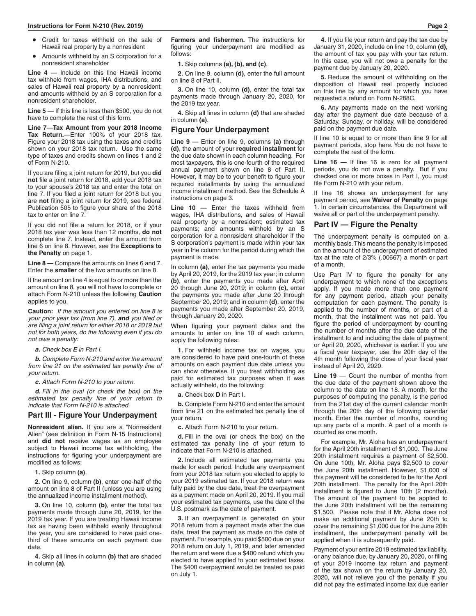- Credit for taxes withheld on the sale of Hawaii real property by a nonresident
- Amounts withheld by an S corporation for a nonresident shareholder

**Line 4 —** Include on this line Hawaii income tax withheld from wages, IHA distributions, and sales of Hawaii real property by a nonresident; and amounts withheld by an S corporation for a nonresident shareholder.

**Line 5 —** If this line is less than \$500, you do not have to complete the rest of this form.

**Line 7—Tax Amount from your 2018 Income Tax Return.—**Enter 100% of your 2018 tax. Figure your 2018 tax using the taxes and credits shown on your 2018 tax return. Use the same type of taxes and credits shown on lines 1 and 2 of Form N-210.

If you are filing a joint return for 2019, but you **did not** file a joint return for 2018, add your 2018 tax to your spouse's 2018 tax and enter the total on line 7. If you filed a joint return for 2018 but you are **not** filing a joint return for 2019, see federal Publication 505 to figure your share of the 2018 tax to enter on line 7.

If you did not file a return for 2018, or if your 2018 tax year was less than 12 months, **do not** complete line 7. Instead, enter the amount from line 6 on line 8. However, see the **Exceptions to the Penalty** on page 1.

**Line 8 —** Compare the amounts on lines 6 and 7. Enter the **smaller** of the two amounts on line 8.

If the amount on line 4 is equal to or more than the amount on line 8, you will not have to complete or attach Form N-210 unless the following **Caution** applies to you.

**Caution:** *If the amount you entered on line 8 is your prior year tax (from line 7), and you filed or are filing a joint return for either 2018 or 2019 but not for both years, do the following even if you do not owe a penalty:*

*a. Check box E in Part I.*

*b. Complete Form N-210 and enter the amount from line 21 on the estimated tax penalty line of your return.*

*c. Attach Form N-210 to your return.*

*d. Fill in the oval (or check the box) on the estimated tax penalty line of your return to indicate that Form N-210 is attached.*

# **Part III - Figure Your Underpayment**

**Nonresident alien.** If you are a "Nonresident Alien" (see definition in Form N-15 Instructions) and **did not** receive wages as an employee subiect to Hawaii income tax withholding, the instructions for figuring your underpayment are modified as follows:

**1.** Skip column **(a)**.

**2.** On line 9, column **(b)**, enter one-half of the amount on line 8 of Part II (unless you are using the annualized income installment method).

**3.** On line 10, column **(b)**, enter the total tax payments made through June 20, 2019, for the 2019 tax year. If you are treating Hawaii income tax as having been withheld evenly throughout the year, you are considered to have paid onethird of these amounts on each payment due date.

**4.** Skip all lines in column **(b)** that are shaded in column **(a)**.

**Farmers and fishermen.** The instructions for figuring your underpayment are modified as follows:

### **1.** Skip columns **(a), (b), and (c)**.

**2.** On line 9, column **(d)**, enter the full amount on line 8 of Part II.

**3.** On line 10, column **(d)**, enter the total tax payments made through January 20, 2020, for the 2019 tax year.

**4.** Skip all lines in column **(d)** that are shaded in column **(a)**.

### **Figure Your Underpayment**

**Line 9 —** Enter on line 9, columns **(a)** through **(d)**, the amount of your **required installment** for the due date shown in each column heading. For most taxpayers, this is one-fourth of the required annual payment shown on line 8 of Part II. However, it may be to your benefit to figure your required installments by using the annualized income installment method. See the Schedule A instructions on page 3.

**Line 10 —** Enter the taxes withheld from wages, IHA distributions, and sales of Hawaii real property by a nonresident; estimated tax payments; and amounts withheld by an S corporation for a nonresident shareholder if the S corporation's payment is made within your tax year in the column for the period during which the payment is made.

In column **(a)**, enter the tax payments you made by April 20, 2019, for the 2019 tax year; in column **(b)**, enter the payments you made after April 20 through June 20, 2019; in column **(c),** enter the payments you made after June 20 through September 20, 2019; and in column **(d)**, enter the payments you made after September 20, 2019, through January 20, 2020.

When figuring your payment dates and the amounts to enter on line 10 of each column, apply the following rules:

**1.** For withheld income tax on wages, you are considered to have paid one-fourth of these amounts on each payment due date unless you can show otherwise. If you treat withholding as paid for estimated tax purposes when it was actually withheld, do the following:

**a.** Check box **D** in Part I.

**b.** Complete Form N-210 and enter the amount from line 21 on the estimated tax penalty line of your return.

**c.** Attach Form N-210 to your return.

**d.** Fill in the oval (or check the box) on the estimated tax penalty line of your return to indicate that Form N-210 is attached.

**2.** Include all estimated tax payments you made for each period. Include any overpayment from your 2018 tax return you elected to apply to your 2019 estimated tax. If your 2018 return was fully paid by the due date, treat the overpayment as a payment made on April 20, 2019. If you mail your estimated tax payments, use the date of the U.S. postmark as the date of payment.

**3.** If an overpayment is generated on your 2018 return from a payment made after the due date, treat the payment as made on the date of payment. For example, you paid \$500 due on your 2018 return on July 1, 2019, and later amended the return and were due a \$400 refund which you elected to have applied to your estimated taxes. The \$400 overpayment would be treated as paid on July 1.

**4.** If you file your return and pay the tax due by January 31, 2020, include on line 10, column **(d),** the amount of tax you pay with your tax return. In this case, you will not owe a penalty for the payment due by January 20, 2020.

**5.** Reduce the amount of withholding on the disposition of Hawaii real property included on this line by any amount for which you have requested a refund on Form N-288C.

**6.** Any payments made on the next working day after the payment due date because of a Saturday, Sunday, or holiday, will be considered paid on the payment due date.

If line 10 is equal to or more than line 9 for all payment periods, stop here. You do not have to complete the rest of the form.

**Line 16 —** If line 16 is zero for all payment periods, you do not owe a penalty. But if you checked one or more boxes in Part I, you must file Form N-210 with your return.

If line 16 shows an underpayment for any payment period, see **Waiver of Penalty** on page 1. In certain circumstances, the Department will waive all or part of the underpayment penalty.

#### **Part IV — Figure the Penalty**

The underpayment penalty is computed on a monthly basis. This means the penalty is imposed on the amount of the underpayment of estimated tax at the rate of 2/3% (.00667) a month or part of a month.

Use Part IV to figure the penalty for any underpayment to which none of the exceptions apply. If you made more than one payment for any payment period, attach your penalty computation for each payment. The penalty is applied to the number of months, or part of a month, that the installment was not paid. You figure the period of underpayment by counting the number of months after the due date of the installment to and including the date of payment or April 20, 2020, whichever is earlier. If you are a fiscal year taxpayer, use the 20th day of the 4th month following the close of your fiscal year instead of April 20, 2020.

**Line 19** — Count the number of months from the due date of the payment shown above the column to the date on line 18. A month, for the purposes of computing the penalty, is the period from the 21st day of the current calendar month through the 20th day of the following calendar month. Enter the number of months, rounding up any parts of a month. A part of a month is counted as one month.

For example, Mr. Aloha has an underpayment for the April 20th installment of \$1,000. The June 20th installment requires a payment of \$2,500. On June 10th, Mr. Aloha pays \$2,500 to cover the June 20th installment. However, \$1,000 of this payment will be considered to be for the April 20th installment. The penalty for the April 20th installment is figured to June 10th (2 months). The amount of the payment to be applied to the June 20th installment will be the remaining \$1,500. Please note that if Mr. Aloha does not make an additional payment by June 20th to cover the remaining \$1,000 due for the June 20th installment, the underpayment penalty will be applied when it is subsequently paid.

Payment of your entire 2019 estimated tax liability, or any balance due, by January 20, 2020, or filing of your 2019 income tax return and payment of the tax shown on the return by January 20, 2020, will not relieve you of the penalty if you did not pay the estimated income tax due earlier